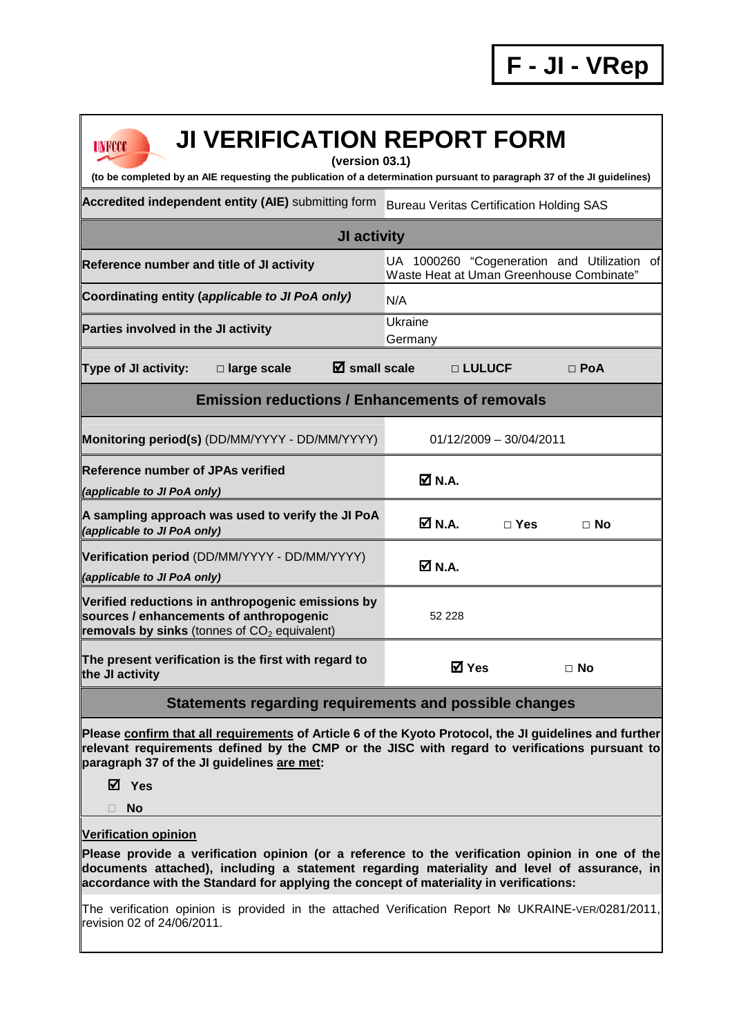**F - JI - VRep**

| <b>JI VERIFICATION REPORT FORM</b><br><b>UNFCCC</b><br>(version 03.1)<br>(to be completed by an AIE requesting the publication of a determination pursuant to paragraph 37 of the JI guidelines)                                                                                          |                                                                                         |  |  |  |  |  |  |
|-------------------------------------------------------------------------------------------------------------------------------------------------------------------------------------------------------------------------------------------------------------------------------------------|-----------------------------------------------------------------------------------------|--|--|--|--|--|--|
| Accredited independent entity (AIE) submitting form<br><b>Bureau Veritas Certification Holding SAS</b>                                                                                                                                                                                    |                                                                                         |  |  |  |  |  |  |
| <b>JI activity</b>                                                                                                                                                                                                                                                                        |                                                                                         |  |  |  |  |  |  |
| Reference number and title of JI activity                                                                                                                                                                                                                                                 | UA 1000260 "Cogeneration and Utilization of<br>Waste Heat at Uman Greenhouse Combinate" |  |  |  |  |  |  |
| Coordinating entity (applicable to JI PoA only)                                                                                                                                                                                                                                           | N/A                                                                                     |  |  |  |  |  |  |
| Parties involved in the JI activity                                                                                                                                                                                                                                                       | Ukraine<br>Germany                                                                      |  |  |  |  |  |  |
| $\overline{\mathbf{Z}}$ small scale<br><b>Type of JI activity:</b><br>$\square$ large scale                                                                                                                                                                                               | □ LULUCF<br>$\Box$ PoA                                                                  |  |  |  |  |  |  |
| <b>Emission reductions / Enhancements of removals</b>                                                                                                                                                                                                                                     |                                                                                         |  |  |  |  |  |  |
| Monitoring period(s) (DD/MM/YYYY - DD/MM/YYYY)                                                                                                                                                                                                                                            | $01/12/2009 - 30/04/2011$                                                               |  |  |  |  |  |  |
| <b>Reference number of JPAs verified</b><br>(applicable to JI PoA only)                                                                                                                                                                                                                   | ØN.A.                                                                                   |  |  |  |  |  |  |
| A sampling approach was used to verify the JI PoA<br>(applicable to JI PoA only)                                                                                                                                                                                                          | $\overline{\mathsf{M}}$ N.A.<br>$\Box$ Yes<br>$\Box$ No                                 |  |  |  |  |  |  |
| Verification period (DD/MM/YYYY - DD/MM/YYYY)<br>(applicable to JI PoA only)                                                                                                                                                                                                              | ØN.A.                                                                                   |  |  |  |  |  |  |
| Verified reductions in anthropogenic emissions by<br>sources / enhancements of anthropogenic<br>removals by sinks (tonnes of $CO2$ equivalent)                                                                                                                                            | 52 228                                                                                  |  |  |  |  |  |  |
| The present verification is the first with regard to<br>the JI activity                                                                                                                                                                                                                   | <b>Ø</b> Yes<br>$\Box$ No                                                               |  |  |  |  |  |  |
| Statements regarding requirements and possible changes                                                                                                                                                                                                                                    |                                                                                         |  |  |  |  |  |  |
| Please confirm that all requirements of Article 6 of the Kyoto Protocol, the JI guidelines and further<br>relevant requirements defined by the CMP or the JISC with regard to verifications pursuant to<br>paragraph 37 of the JI guidelines are met:<br>$\triangledown$ Yes<br><b>No</b> |                                                                                         |  |  |  |  |  |  |

## **Verification opinion**

**Please provide a verification opinion (or a reference to the verification opinion in one of the documents attached), including a statement regarding materiality and level of assurance, in accordance with the Standard for applying the concept of materiality in verifications:** 

The verification opinion is provided in the attached Verification Report № UKRAINE-VER/0281/2011, revision 02 of 24/06/2011.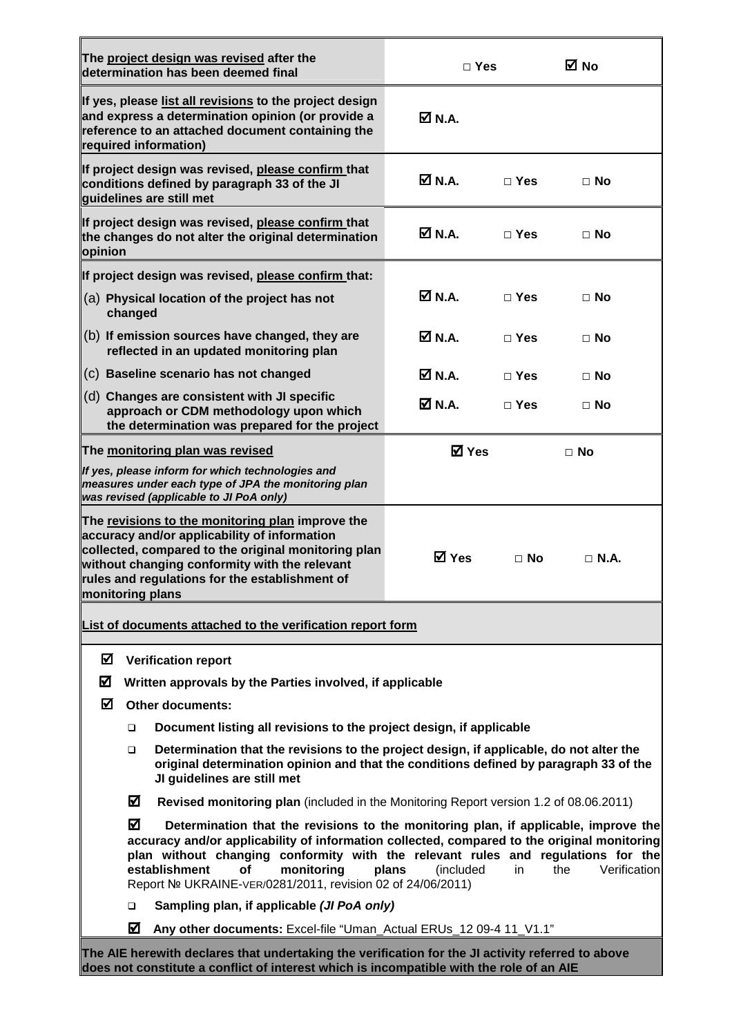|                                                                                                                                                                                                                                                                                                                                                                                                                                   |                                                                                                                                                                                                                           | The project design was revised after the<br>determination has been deemed final                                                                                                                                                                            | $\Box$ Yes       |            | ⊠ No        |  |  |
|-----------------------------------------------------------------------------------------------------------------------------------------------------------------------------------------------------------------------------------------------------------------------------------------------------------------------------------------------------------------------------------------------------------------------------------|---------------------------------------------------------------------------------------------------------------------------------------------------------------------------------------------------------------------------|------------------------------------------------------------------------------------------------------------------------------------------------------------------------------------------------------------------------------------------------------------|------------------|------------|-------------|--|--|
|                                                                                                                                                                                                                                                                                                                                                                                                                                   |                                                                                                                                                                                                                           | If yes, please list all revisions to the project design<br>and express a determination opinion (or provide a<br>reference to an attached document containing the<br>required information)                                                                  | <b>☑</b> N.A.    |            |             |  |  |
|                                                                                                                                                                                                                                                                                                                                                                                                                                   |                                                                                                                                                                                                                           | If project design was revised, please confirm that<br>conditions defined by paragraph 33 of the JI<br>guidelines are still met                                                                                                                             | $\boxtimes$ N.A. | $\Box$ Yes | $\Box$ No   |  |  |
| opinion                                                                                                                                                                                                                                                                                                                                                                                                                           |                                                                                                                                                                                                                           | If project design was revised, please confirm that<br>the changes do not alter the original determination                                                                                                                                                  | Ø N.A.           | $\Box$ Yes | $\Box$ No   |  |  |
|                                                                                                                                                                                                                                                                                                                                                                                                                                   | If project design was revised, please confirm that:                                                                                                                                                                       |                                                                                                                                                                                                                                                            |                  |            |             |  |  |
|                                                                                                                                                                                                                                                                                                                                                                                                                                   | changed                                                                                                                                                                                                                   | (a) Physical location of the project has not                                                                                                                                                                                                               | <b>☑</b> N.A.    | $\Box$ Yes | $\Box$ No   |  |  |
|                                                                                                                                                                                                                                                                                                                                                                                                                                   |                                                                                                                                                                                                                           | (b) If emission sources have changed, they are<br>reflected in an updated monitoring plan                                                                                                                                                                  | Ø N.A.           | $\Box$ Yes | $\Box$ No   |  |  |
|                                                                                                                                                                                                                                                                                                                                                                                                                                   |                                                                                                                                                                                                                           | (c) Baseline scenario has not changed                                                                                                                                                                                                                      | M N.A.           | $\Box$ Yes | $\Box$ No   |  |  |
|                                                                                                                                                                                                                                                                                                                                                                                                                                   |                                                                                                                                                                                                                           | (d) Changes are consistent with JI specific<br>approach or CDM methodology upon which<br>the determination was prepared for the project                                                                                                                    | Ø N.A.           | $\Box$ Yes | $\Box$ No   |  |  |
|                                                                                                                                                                                                                                                                                                                                                                                                                                   | The monitoring plan was revised<br><b>☑</b> Yes<br>$\Box$ No                                                                                                                                                              |                                                                                                                                                                                                                                                            |                  |            |             |  |  |
| If yes, please inform for which technologies and<br>measures under each type of JPA the monitoring plan<br>was revised (applicable to JI PoA only)                                                                                                                                                                                                                                                                                |                                                                                                                                                                                                                           |                                                                                                                                                                                                                                                            |                  |            |             |  |  |
| monitoring plans                                                                                                                                                                                                                                                                                                                                                                                                                  |                                                                                                                                                                                                                           | The revisions to the monitoring plan improve the<br>accuracy and/or applicability of information<br>collected, compared to the original monitoring plan<br>without changing conformity with the relevant<br>rules and regulations for the establishment of | ⊠ Yes            | $\Box$ No  | $\Box$ N.A. |  |  |
| List of documents attached to the verification report form                                                                                                                                                                                                                                                                                                                                                                        |                                                                                                                                                                                                                           |                                                                                                                                                                                                                                                            |                  |            |             |  |  |
| ☑<br><b>Verification report</b>                                                                                                                                                                                                                                                                                                                                                                                                   |                                                                                                                                                                                                                           |                                                                                                                                                                                                                                                            |                  |            |             |  |  |
| ☑                                                                                                                                                                                                                                                                                                                                                                                                                                 | Written approvals by the Parties involved, if applicable                                                                                                                                                                  |                                                                                                                                                                                                                                                            |                  |            |             |  |  |
| ☑                                                                                                                                                                                                                                                                                                                                                                                                                                 | <b>Other documents:</b>                                                                                                                                                                                                   |                                                                                                                                                                                                                                                            |                  |            |             |  |  |
|                                                                                                                                                                                                                                                                                                                                                                                                                                   | Document listing all revisions to the project design, if applicable<br>$\Box$                                                                                                                                             |                                                                                                                                                                                                                                                            |                  |            |             |  |  |
|                                                                                                                                                                                                                                                                                                                                                                                                                                   | Determination that the revisions to the project design, if applicable, do not alter the<br>$\Box$<br>original determination opinion and that the conditions defined by paragraph 33 of the<br>JI guidelines are still met |                                                                                                                                                                                                                                                            |                  |            |             |  |  |
|                                                                                                                                                                                                                                                                                                                                                                                                                                   | ☑                                                                                                                                                                                                                         | Revised monitoring plan (included in the Monitoring Report version 1.2 of 08.06.2011)                                                                                                                                                                      |                  |            |             |  |  |
| ☑<br>Determination that the revisions to the monitoring plan, if applicable, improve the<br>accuracy and/or applicability of information collected, compared to the original monitoring<br>plan without changing conformity with the relevant rules and regulations for the<br>establishment<br>monitoring<br>Verification<br>(included<br>the<br>οf<br>plans<br>in<br>Report № UKRAINE-VER/0281/2011, revision 02 of 24/06/2011) |                                                                                                                                                                                                                           |                                                                                                                                                                                                                                                            |                  |            |             |  |  |
|                                                                                                                                                                                                                                                                                                                                                                                                                                   | Sampling plan, if applicable (JI PoA only)<br>▫                                                                                                                                                                           |                                                                                                                                                                                                                                                            |                  |            |             |  |  |
| ☑<br>Any other documents: Excel-file "Uman_Actual ERUs_12 09-4 11_V1.1"                                                                                                                                                                                                                                                                                                                                                           |                                                                                                                                                                                                                           |                                                                                                                                                                                                                                                            |                  |            |             |  |  |
| The AIE herewith declares that undertaking the verification for the JI activity referred to above<br>does not constitute a conflict of interest which is incompatible with the role of an AIE                                                                                                                                                                                                                                     |                                                                                                                                                                                                                           |                                                                                                                                                                                                                                                            |                  |            |             |  |  |

F